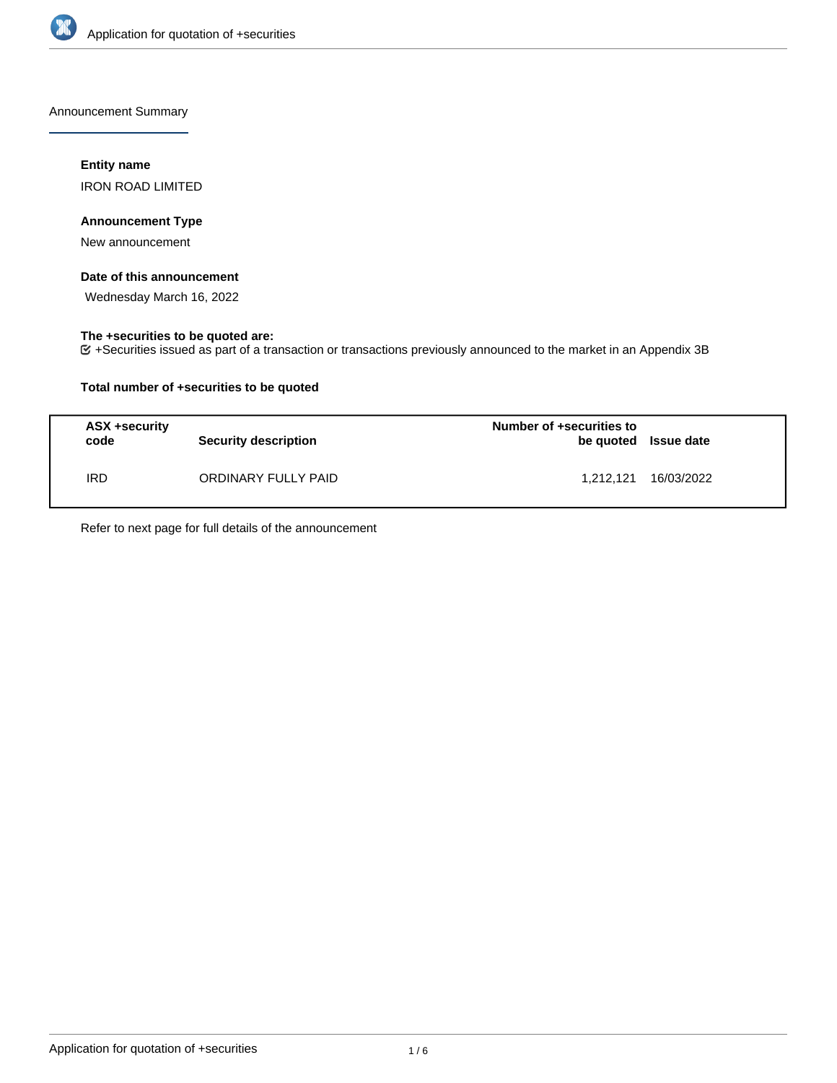

Announcement Summary

# **Entity name**

IRON ROAD LIMITED

# **Announcement Type**

New announcement

# **Date of this announcement**

Wednesday March 16, 2022

# **The +securities to be quoted are:**

+Securities issued as part of a transaction or transactions previously announced to the market in an Appendix 3B

# **Total number of +securities to be quoted**

| ASX +security<br>code | <b>Security description</b> | Number of +securities to | be quoted Issue date |
|-----------------------|-----------------------------|--------------------------|----------------------|
| IRD.                  | ORDINARY FULLY PAID         | 1.212.121                | 16/03/2022           |

Refer to next page for full details of the announcement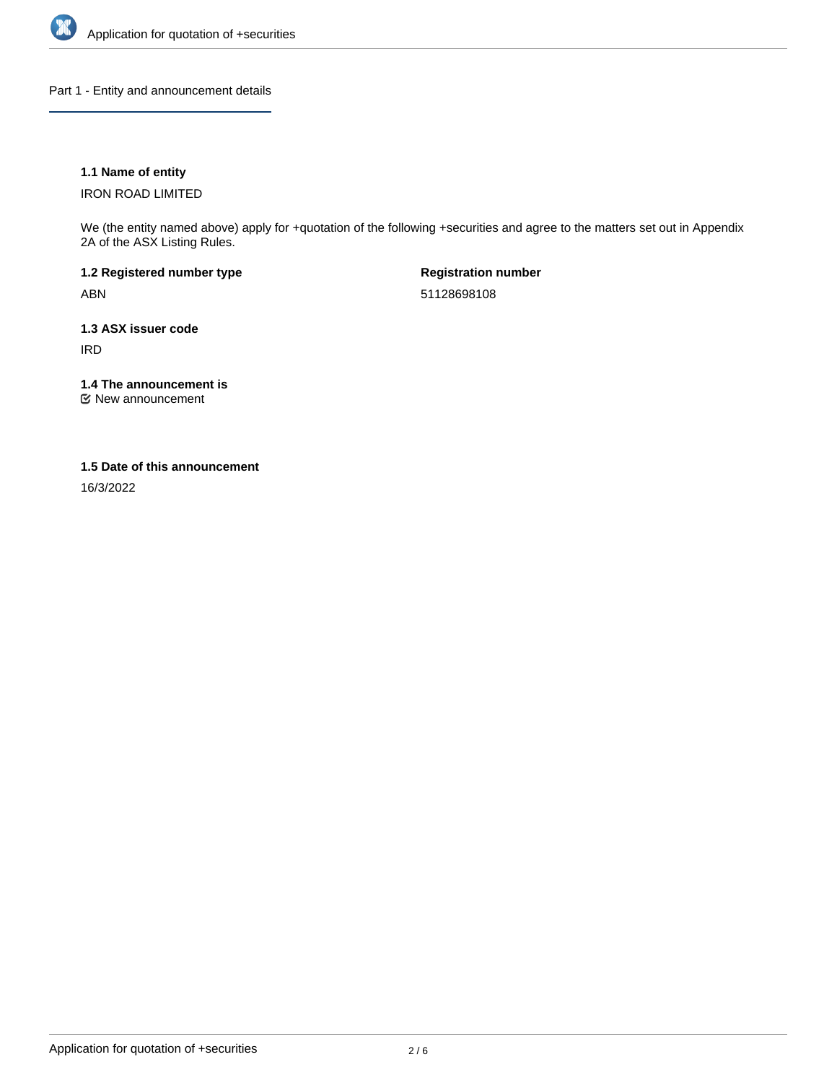

Part 1 - Entity and announcement details

# **1.1 Name of entity**

IRON ROAD LIMITED

We (the entity named above) apply for +quotation of the following +securities and agree to the matters set out in Appendix 2A of the ASX Listing Rules.

**1.2 Registered number type** ABN

**Registration number** 51128698108

**1.3 ASX issuer code** IRD

**1.4 The announcement is**

New announcement

## **1.5 Date of this announcement**

16/3/2022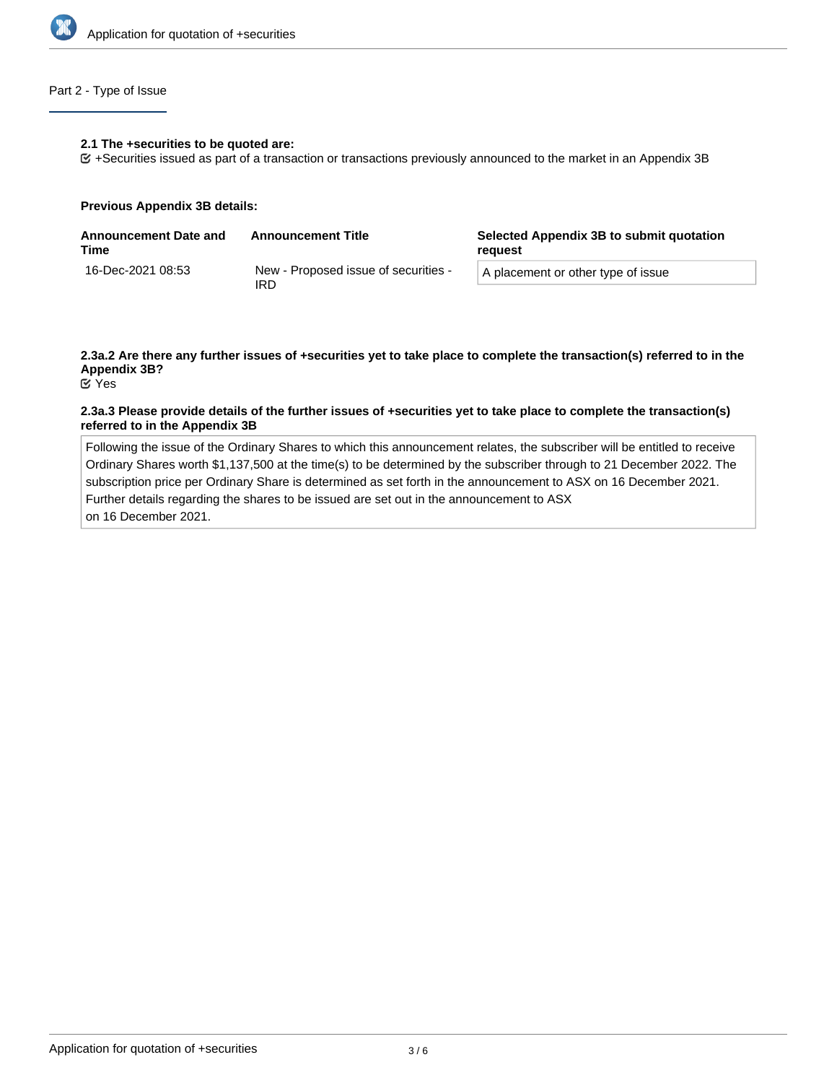

# Part 2 - Type of Issue

#### **2.1 The +securities to be quoted are:**

+Securities issued as part of a transaction or transactions previously announced to the market in an Appendix 3B

#### **Previous Appendix 3B details:**

| <b>Announcement Date and</b><br>Time | <b>Announcement Title</b>                   | Selected Appendix 3B to submit quotation<br>reauest |  |
|--------------------------------------|---------------------------------------------|-----------------------------------------------------|--|
| 16-Dec-2021 08:53                    | New - Proposed issue of securities -<br>IRD | A placement or other type of issue                  |  |

# **2.3a.2 Are there any further issues of +securities yet to take place to complete the transaction(s) referred to in the Appendix 3B?**

Yes

## **2.3a.3 Please provide details of the further issues of +securities yet to take place to complete the transaction(s) referred to in the Appendix 3B**

Following the issue of the Ordinary Shares to which this announcement relates, the subscriber will be entitled to receive Ordinary Shares worth \$1,137,500 at the time(s) to be determined by the subscriber through to 21 December 2022. The subscription price per Ordinary Share is determined as set forth in the announcement to ASX on 16 December 2021. Further details regarding the shares to be issued are set out in the announcement to ASX on 16 December 2021.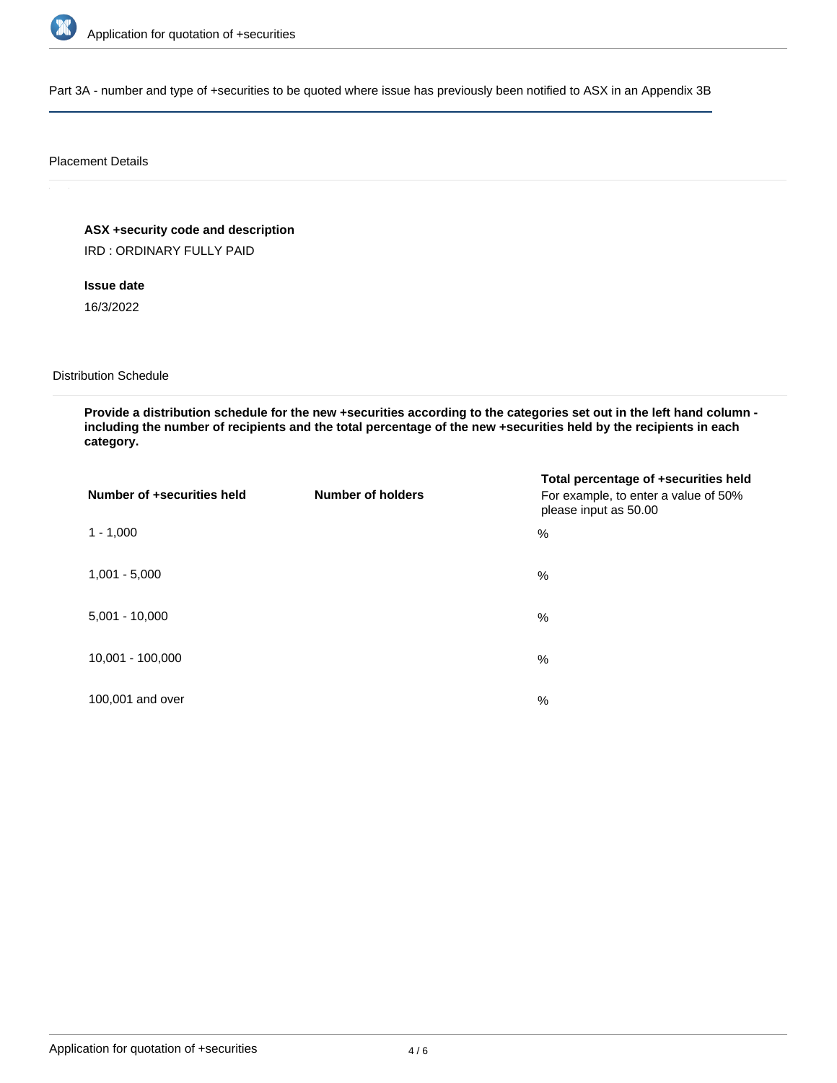

Part 3A - number and type of +securities to be quoted where issue has previously been notified to ASX in an Appendix 3B

## Placement Details

**ASX +security code and description**

IRD : ORDINARY FULLY PAID

**Issue date**

16/3/2022

Distribution Schedule

**Provide a distribution schedule for the new +securities according to the categories set out in the left hand column including the number of recipients and the total percentage of the new +securities held by the recipients in each category.**

| Number of +securities held | <b>Number of holders</b> | Total percentage of +securities held<br>For example, to enter a value of 50%<br>please input as 50.00 |
|----------------------------|--------------------------|-------------------------------------------------------------------------------------------------------|
| $1 - 1,000$                |                          | %                                                                                                     |
| $1,001 - 5,000$            |                          | $\%$                                                                                                  |
| $5,001 - 10,000$           |                          | %                                                                                                     |
| 10,001 - 100,000           |                          | $\%$                                                                                                  |
| 100,001 and over           |                          | $\%$                                                                                                  |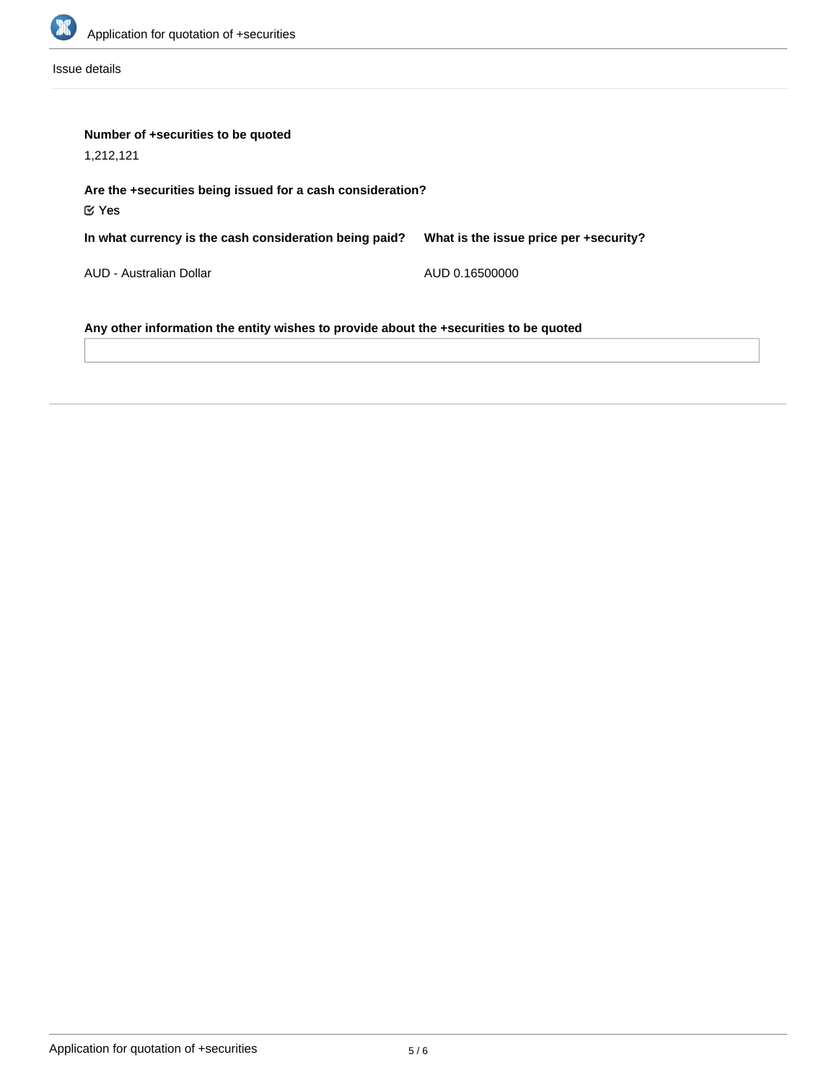

Issue details

| Number of +securities to be quoted                                                    |                                        |  |  |  |
|---------------------------------------------------------------------------------------|----------------------------------------|--|--|--|
| 1,212,121                                                                             |                                        |  |  |  |
| Are the +securities being issued for a cash consideration?<br>$\mathfrak C$ Yes       |                                        |  |  |  |
| In what currency is the cash consideration being paid?                                | What is the issue price per +security? |  |  |  |
| AUD - Australian Dollar                                                               | AUD 0.16500000                         |  |  |  |
| Any other information the entity wishes to provide about the +securities to be quoted |                                        |  |  |  |